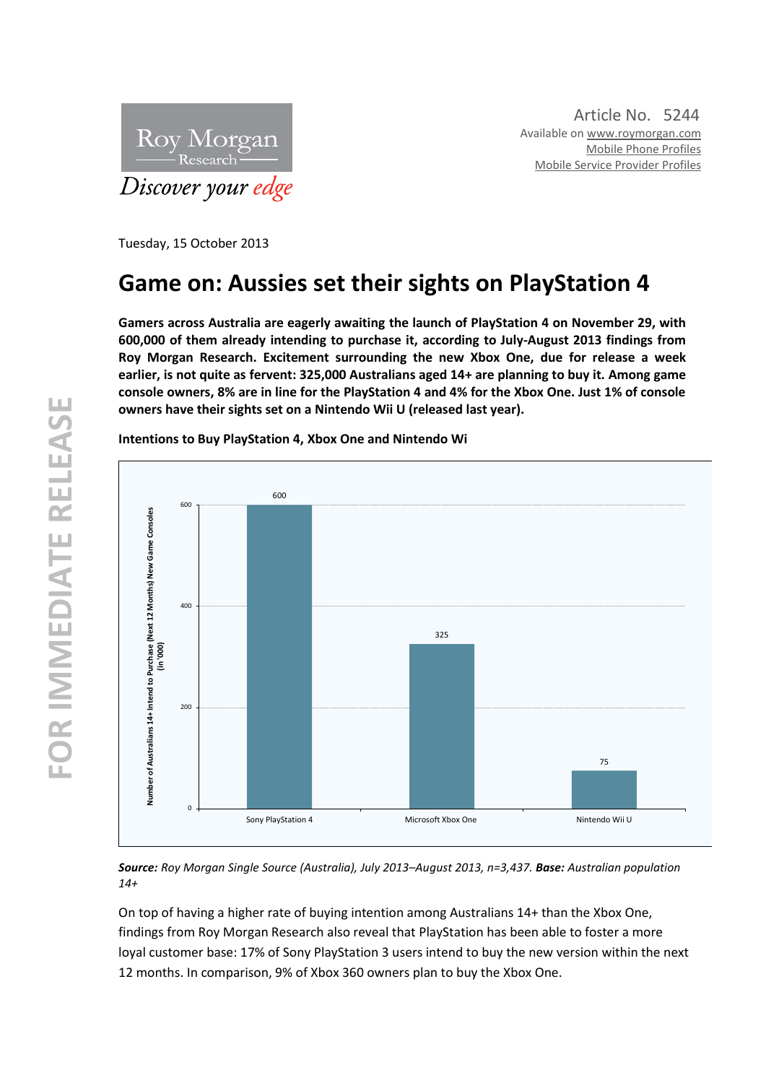

Tuesday, 15 October 2013

# **Game on: Aussies set their sights on PlayStation 4**

**Gamers across Australia are eagerly awaiting the launch of PlayStation 4 on November 29, with 600,000 of them already intending to purchase it, according to July -August 2013 findings from Roy Morgan Research. Excitement surrounding the new Xbox One, due for release a week earlier, is not quite as fervent: 325,000 Australians aged 14+ are planning to buy it. Among game console owners, 8% are in line for the PlayStation 4 and 4% for the Xbox One. Just 1% of console owners have their sights set on a Nintendo Wii U (released last year).**



**Intentions to Buy PlayStation 4, Xbox One and Nintendo Wi**

*Source: Roy Morgan Single Source (Australia), July 2013 –August 2013, n=3,437 . Base: Australian population 14+*

On top of having a higher rate of buying intention among Australians 14+ than the Xbox One, findings from Roy Morgan Research also reveal that PlayStation has been able to foster a more loyal customer base: 17% of Sony PlayStation 3 users intend to buy the new version within the next 12 months. In comparison, 9% of Xbox 360 owners plan to buy the Xbox One.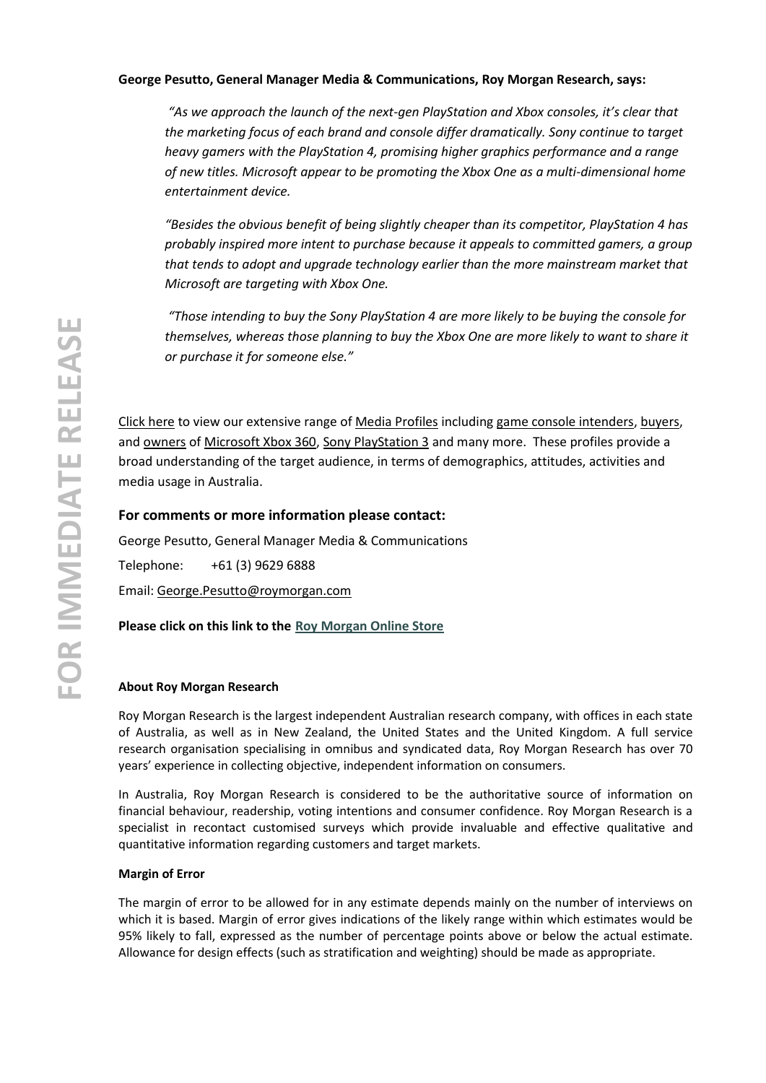## **George Pesutto, General Manager Media & Communications, Roy Morgan Research, says:**

*"As we approach the launch of the next-gen PlayStation and Xbox consoles, it's clear that the marketing focus of each brand and console differ dramatically. Sony continue to target heavy gamers with the PlayStation 4, promising higher graphics performance and a range of new titles. Microsoft appear to be promoting the Xbox One as a multi -dimensional home entertainment device.*

*"Besides the obvious benefit of being slightly cheaper than its competitor, PlayStation 4 has probably inspired more intent to purchase because it appeals to committed gamers, a group that tends to adopt and upgrade technology earlier than the more mainstream market that Microsoft are targeting with Xbox One.*

*"Those intending to buy the Sony PlayStation 4 are more likely to be buying the console for themselves, whereas those planning to buy the Xbox One are more likely to want to share it or purchase it for someone else."*

[Click here](http://www.roymorganonlinestore.com/Browse-Start.aspx) to view our extensive range of [Media Profiles](http://www.roymorganonlinestore.com/Browse/Australia/Media-and-Communication.aspx) including [game console intenders,](http://www.roymorganonlinestore.com/Browse/Australia/Telecommunication-and-Technology/Game-Consoles/Game-Console-Intenders.aspx) [buyers,](http://www.roymorganonlinestore.com/Browse/Australia/Telecommunication-and-Technology/Game-Consoles/Game-Console-Buyers.aspx) an[d owners](http://www.roymorganonlinestore.com/Browse/Australia/Telecommunication-and-Technology/Game-Consoles/Game-Console-Owners.aspx) o[f Microsoft Xbox 360,](http://www.roymorganonlinestore.com/Browse/Australia/Telecommunication-and-Technology/Game-Consoles/Game-Console-Owners/Microsoft-Xbox-360-Owner-Profile.aspx) [Sony PlayStation 3](http://www.roymorganonlinestore.com/Browse/Australia/Telecommunication-and-Technology/Game-Consoles/Game-Console-Owners/Sony-PlayStation-3-Owner-Profile.aspx) and many more. These profiles provide a broad understanding of the target audience, in terms of demographics, attitudes, activities and media usage in Australia .

## **For comments or more information please contact:**

George Pesutto, General Manager Media & Communications

Telephone: +61 (3) 9629 6888

Email: George.Pesutto@roymorgan.com

**Please click on this link to the [Roy Morgan Online Store](http://www.roymorganonlinestore.com/)**

### **About Roy Morgan Research**

Roy Morgan Research is the largest independent Australian research company, with offices in each state of Australia, as well as in New Zealand, the United States and the United Kingdom. A full service research organisation specialising in omnibus and syndicated data, Roy Morgan Research has over 70 years' experience in collecting objective, independent information on consumers.

In Australia, Roy Morgan Research is considered to be the authoritative source of information on financial behaviour, readership, voting intentions and consumer confidence. Roy Morgan Research is a specialist in recontact customised surveys which provide invaluable and effective qualitative and quantitative information regarding customers and target markets.

#### **Margin of Error**

The margin of error to be allowed for in any estimate depends mainly on the number of interviews on which it is based. Margin of error gives indications of the likely range within which estimates would be 95% likely to fall, expressed as the number of percentage points above or below the actual estimate. Allowance for design effects (such as stratification and weighting) should be made as appropriate.